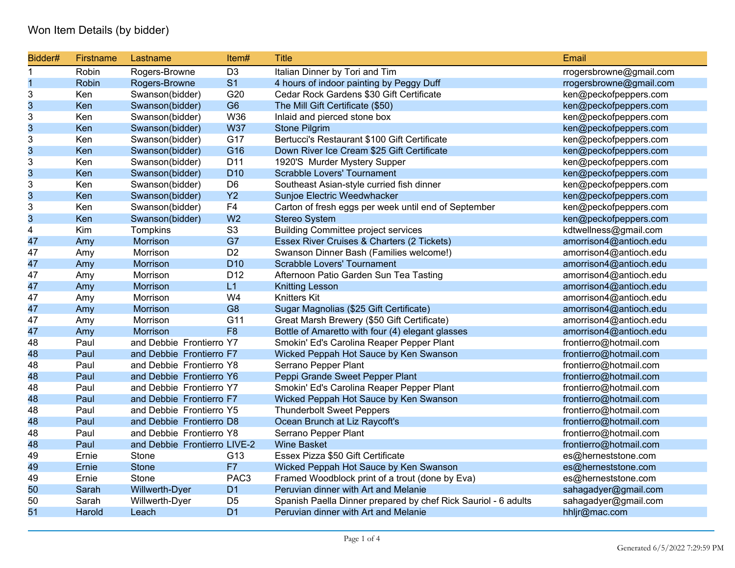| Bidder# | Firstname | Lastname                     | Item#            | <b>Title</b>                                                   | Email                   |
|---------|-----------|------------------------------|------------------|----------------------------------------------------------------|-------------------------|
| 1       | Robin     | Rogers-Browne                | D <sub>3</sub>   | Italian Dinner by Tori and Tim                                 | rrogersbrowne@gmail.com |
| 1       | Robin     | Rogers-Browne                | S <sub>1</sub>   | 4 hours of indoor painting by Peggy Duff                       | rrogersbrowne@gmail.com |
| 3       | Ken       | Swanson(bidder)              | G20              | Cedar Rock Gardens \$30 Gift Certificate                       | ken@peckofpeppers.com   |
| 3       | Ken       | Swanson(bidder)              | G <sub>6</sub>   | The Mill Gift Certificate (\$50)                               | ken@peckofpeppers.com   |
| 3       | Ken       | Swanson(bidder)              | W36              | Inlaid and pierced stone box                                   | ken@peckofpeppers.com   |
| 3       | Ken       | Swanson(bidder)              | <b>W37</b>       | <b>Stone Pilgrim</b>                                           | ken@peckofpeppers.com   |
| 3       | Ken       | Swanson(bidder)              | G17              | Bertucci's Restaurant \$100 Gift Certificate                   | ken@peckofpeppers.com   |
| 3       | Ken       | Swanson(bidder)              | G16              | Down River Ice Cream \$25 Gift Certificate                     | ken@peckofpeppers.com   |
| 3       | Ken       | Swanson(bidder)              | D11              | 1920'S Murder Mystery Supper                                   | ken@peckofpeppers.com   |
| 3       | Ken       | Swanson(bidder)              | D <sub>10</sub>  | Scrabble Lovers' Tournament                                    | ken@peckofpeppers.com   |
| 3       | Ken       | Swanson(bidder)              | D <sub>6</sub>   | Southeast Asian-style curried fish dinner                      | ken@peckofpeppers.com   |
| 3       | Ken       | Swanson(bidder)              | <b>Y2</b>        | Sunjoe Electric Weedwhacker                                    | ken@peckofpeppers.com   |
| 3       | Ken       | Swanson(bidder)              | F <sub>4</sub>   | Carton of fresh eggs per week until end of September           | ken@peckofpeppers.com   |
| 3       | Ken       | Swanson(bidder)              | W <sub>2</sub>   | <b>Stereo System</b>                                           | ken@peckofpeppers.com   |
| 4       | Kim       | Tompkins                     | S <sub>3</sub>   | <b>Building Committee project services</b>                     | kdtwellness@gmail.com   |
| 47      | Amy       | Morrison                     | G7               | Essex River Cruises & Charters (2 Tickets)                     | amorrison4@antioch.edu  |
| 47      | Amy       | Morrison                     | D <sub>2</sub>   | Swanson Dinner Bash (Families welcome!)                        | amorrison4@antioch.edu  |
| 47      | Amy       | Morrison                     | D <sub>10</sub>  | <b>Scrabble Lovers' Tournament</b>                             | amorrison4@antioch.edu  |
| 47      | Amy       | Morrison                     | D <sub>12</sub>  | Afternoon Patio Garden Sun Tea Tasting                         | amorrison4@antioch.edu  |
| 47      | Amy       | Morrison                     | L1               | <b>Knitting Lesson</b>                                         | amorrison4@antioch.edu  |
| 47      | Amy       | Morrison                     | W4               | <b>Knitters Kit</b>                                            | amorrison4@antioch.edu  |
| 47      | Amy       | Morrison                     | G <sub>8</sub>   | Sugar Magnolias (\$25 Gift Certificate)                        | amorrison4@antioch.edu  |
| 47      | Amy       | Morrison                     | G11              | Great Marsh Brewery (\$50 Gift Certificate)                    | amorrison4@antioch.edu  |
| 47      | Amy       | Morrison                     | F <sub>8</sub>   | Bottle of Amaretto with four (4) elegant glasses               | amorrison4@antioch.edu  |
| 48      | Paul      | and Debbie Frontierro Y7     |                  | Smokin' Ed's Carolina Reaper Pepper Plant                      | frontierro@hotmail.com  |
| 48      | Paul      | and Debbie Frontierro F7     |                  | Wicked Peppah Hot Sauce by Ken Swanson                         | frontierro@hotmail.com  |
| 48      | Paul      | and Debbie Frontierro Y8     |                  | Serrano Pepper Plant                                           | frontierro@hotmail.com  |
| 48      | Paul      | and Debbie Frontierro Y6     |                  | Peppi Grande Sweet Pepper Plant                                | frontierro@hotmail.com  |
| 48      | Paul      | and Debbie Frontierro Y7     |                  | Smokin' Ed's Carolina Reaper Pepper Plant                      | frontierro@hotmail.com  |
| 48      | Paul      | and Debbie Frontierro F7     |                  | Wicked Peppah Hot Sauce by Ken Swanson                         | frontierro@hotmail.com  |
| 48      | Paul      | and Debbie Frontierro Y5     |                  | <b>Thunderbolt Sweet Peppers</b>                               | frontierro@hotmail.com  |
| 48      | Paul      | and Debbie Frontierro D8     |                  | Ocean Brunch at Liz Raycoft's                                  | frontierro@hotmail.com  |
| 48      | Paul      | and Debbie Frontierro Y8     |                  | Serrano Pepper Plant                                           | frontierro@hotmail.com  |
| 48      | Paul      | and Debbie Frontierro LIVE-2 |                  | <b>Wine Basket</b>                                             | frontierro@hotmail.com  |
| 49      | Ernie     | Stone                        | G13              | Essex Pizza \$50 Gift Certificate                              | es@herneststone.com     |
| 49      | Ernie     | <b>Stone</b>                 | F7               | Wicked Peppah Hot Sauce by Ken Swanson                         | es@herneststone.com     |
| 49      | Ernie     | Stone                        | PAC <sub>3</sub> | Framed Woodblock print of a trout (done by Eva)                | es@herneststone.com     |
| 50      | Sarah     | Willwerth-Dyer               | D <sub>1</sub>   | Peruvian dinner with Art and Melanie                           | sahagadyer@gmail.com    |
| 50      | Sarah     | Willwerth-Dyer               | D <sub>5</sub>   | Spanish Paella Dinner prepared by chef Rick Sauriol - 6 adults | sahagadyer@gmail.com    |
| 51      | Harold    | Leach                        | D <sub>1</sub>   | Peruvian dinner with Art and Melanie                           | hhljr@mac.com           |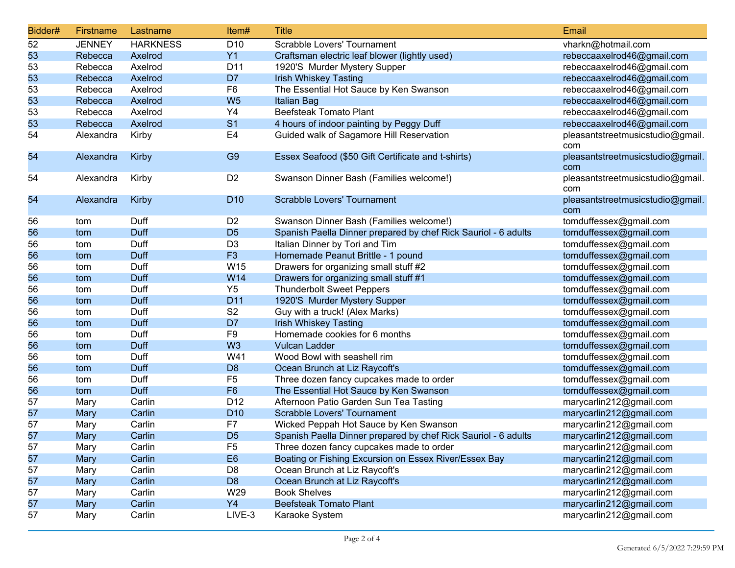| Bidder# | Firstname     | Lastname        | Item#           | <b>Title</b>                                                   | Email                                   |
|---------|---------------|-----------------|-----------------|----------------------------------------------------------------|-----------------------------------------|
| 52      | <b>JENNEY</b> | <b>HARKNESS</b> | D <sub>10</sub> | Scrabble Lovers' Tournament                                    | vharkn@hotmail.com                      |
| 53      | Rebecca       | Axelrod         | Y1              | Craftsman electric leaf blower (lightly used)                  | rebeccaaxelrod46@gmail.com              |
| 53      | Rebecca       | Axelrod         | D <sub>11</sub> | 1920'S Murder Mystery Supper                                   | rebeccaaxelrod46@gmail.com              |
| 53      | Rebecca       | Axelrod         | D7              | <b>Irish Whiskey Tasting</b>                                   | rebeccaaxelrod46@gmail.com              |
| 53      | Rebecca       | Axelrod         | F <sub>6</sub>  | The Essential Hot Sauce by Ken Swanson                         | rebeccaaxelrod46@gmail.com              |
| 53      | Rebecca       | Axelrod         | W <sub>5</sub>  | <b>Italian Bag</b>                                             | rebeccaaxelrod46@gmail.com              |
| 53      | Rebecca       | Axelrod         | Y4              | <b>Beefsteak Tomato Plant</b>                                  | rebeccaaxelrod46@gmail.com              |
| 53      | Rebecca       | Axelrod         | S <sub>1</sub>  | 4 hours of indoor painting by Peggy Duff                       | rebeccaaxelrod46@gmail.com              |
| 54      | Alexandra     | Kirby           | E <sub>4</sub>  | Guided walk of Sagamore Hill Reservation                       | pleasantstreetmusicstudio@gmail.<br>com |
| 54      | Alexandra     | Kirby           | G <sub>9</sub>  | Essex Seafood (\$50 Gift Certificate and t-shirts)             | pleasantstreetmusicstudio@gmail.<br>com |
| 54      | Alexandra     | Kirby           | D <sub>2</sub>  | Swanson Dinner Bash (Families welcome!)                        | pleasantstreetmusicstudio@gmail.<br>com |
| 54      | Alexandra     | Kirby           | D <sub>10</sub> | <b>Scrabble Lovers' Tournament</b>                             | pleasantstreetmusicstudio@gmail.<br>com |
| 56      | tom           | Duff            | D <sub>2</sub>  | Swanson Dinner Bash (Families welcome!)                        | tomduffessex@gmail.com                  |
| 56      | tom           | <b>Duff</b>     | D <sub>5</sub>  | Spanish Paella Dinner prepared by chef Rick Sauriol - 6 adults | tomduffessex@gmail.com                  |
| 56      | tom           | Duff            | D <sub>3</sub>  | Italian Dinner by Tori and Tim                                 | tomduffessex@gmail.com                  |
| 56      | tom           | <b>Duff</b>     | F <sub>3</sub>  | Homemade Peanut Brittle - 1 pound                              | tomduffessex@gmail.com                  |
| 56      | tom           | Duff            | W15             | Drawers for organizing small stuff #2                          | tomduffessex@gmail.com                  |
| 56      | tom           | Duff            | W14             | Drawers for organizing small stuff #1                          | tomduffessex@gmail.com                  |
| 56      | tom           | Duff            | Y <sub>5</sub>  | <b>Thunderbolt Sweet Peppers</b>                               | tomduffessex@gmail.com                  |
| 56      | tom           | <b>Duff</b>     | D <sub>11</sub> | 1920'S Murder Mystery Supper                                   | tomduffessex@gmail.com                  |
| 56      | tom           | Duff            | S <sub>2</sub>  | Guy with a truck! (Alex Marks)                                 | tomduffessex@gmail.com                  |
| 56      | tom           | Duff            | D7              | <b>Irish Whiskey Tasting</b>                                   | tomduffessex@gmail.com                  |
| 56      | tom           | Duff            | F <sub>9</sub>  | Homemade cookies for 6 months                                  | tomduffessex@gmail.com                  |
| 56      | tom           | <b>Duff</b>     | W <sub>3</sub>  | <b>Vulcan Ladder</b>                                           | tomduffessex@gmail.com                  |
| 56      | tom           | Duff            | W41             | Wood Bowl with seashell rim                                    | tomduffessex@gmail.com                  |
| 56      | tom           | <b>Duff</b>     | D <sub>8</sub>  | Ocean Brunch at Liz Raycoft's                                  | tomduffessex@gmail.com                  |
| 56      | tom           | Duff            | F <sub>5</sub>  | Three dozen fancy cupcakes made to order                       | tomduffessex@gmail.com                  |
| 56      | tom           | <b>Duff</b>     | F <sub>6</sub>  | The Essential Hot Sauce by Ken Swanson                         | tomduffessex@gmail.com                  |
| 57      | Mary          | Carlin          | D <sub>12</sub> | Afternoon Patio Garden Sun Tea Tasting                         | marycarlin212@gmail.com                 |
| 57      | <b>Mary</b>   | Carlin          | D <sub>10</sub> | <b>Scrabble Lovers' Tournament</b>                             | marycarlin212@gmail.com                 |
| 57      | Mary          | Carlin          | F7              | Wicked Peppah Hot Sauce by Ken Swanson                         | marycarlin212@gmail.com                 |
| 57      | Mary          | Carlin          | D <sub>5</sub>  | Spanish Paella Dinner prepared by chef Rick Sauriol - 6 adults | marycarlin212@gmail.com                 |
| 57      | Mary          | Carlin          | F <sub>5</sub>  | Three dozen fancy cupcakes made to order                       | marycarlin212@gmail.com                 |
| 57      | Mary          | Carlin          | E <sub>6</sub>  | Boating or Fishing Excursion on Essex River/Essex Bay          | marycarlin212@gmail.com                 |
| 57      | Mary          | Carlin          | D <sub>8</sub>  | Ocean Brunch at Liz Raycoft's                                  | marycarlin212@gmail.com                 |
| 57      | Mary          | Carlin          | D <sub>8</sub>  | Ocean Brunch at Liz Raycoft's                                  | marycarlin212@gmail.com                 |
| 57      | Mary          | Carlin          | W29             | <b>Book Shelves</b>                                            | marycarlin212@gmail.com                 |
| 57      | Mary          | Carlin          | Y4              | <b>Beefsteak Tomato Plant</b>                                  | marycarlin212@gmail.com                 |
| 57      | Mary          | Carlin          | LIVE-3          | Karaoke System                                                 | marycarlin212@gmail.com                 |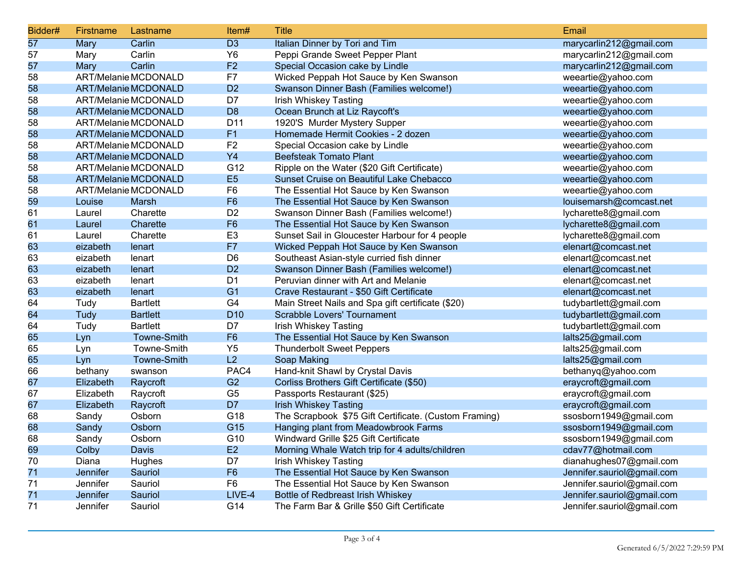| Bidder# | Firstname       | Lastname                    | Item#           | <b>Title</b>                                          | Email                      |
|---------|-----------------|-----------------------------|-----------------|-------------------------------------------------------|----------------------------|
| 57      | Mary            | Carlin                      | D <sub>3</sub>  | Italian Dinner by Tori and Tim                        | marycarlin212@gmail.com    |
| 57      | Mary            | Carlin                      | Y <sub>6</sub>  | Peppi Grande Sweet Pepper Plant                       | marycarlin212@gmail.com    |
| 57      | Mary            | Carlin                      | F <sub>2</sub>  | Special Occasion cake by Lindle                       | marycarlin212@gmail.com    |
| 58      |                 | ART/Melanie MCDONALD        | F7              | Wicked Peppah Hot Sauce by Ken Swanson                | weeartie@yahoo.com         |
| 58      |                 | <b>ART/Melanie MCDONALD</b> | D <sub>2</sub>  | Swanson Dinner Bash (Families welcome!)               | weeartie@yahoo.com         |
| 58      |                 | ART/Melanie MCDONALD        | D7              | <b>Irish Whiskey Tasting</b>                          | weeartie@yahoo.com         |
| 58      |                 | <b>ART/Melanie MCDONALD</b> | D <sub>8</sub>  | Ocean Brunch at Liz Raycoft's                         | weeartie@yahoo.com         |
| 58      |                 | ART/Melanie MCDONALD        | D11             | 1920'S Murder Mystery Supper                          | weeartie@yahoo.com         |
| 58      |                 | <b>ART/Melanie MCDONALD</b> | F1              | Homemade Hermit Cookies - 2 dozen                     | weeartie@yahoo.com         |
| 58      |                 | ART/Melanie MCDONALD        | F <sub>2</sub>  | Special Occasion cake by Lindle                       | weeartie@yahoo.com         |
| 58      |                 | <b>ART/Melanie MCDONALD</b> | <b>Y4</b>       | <b>Beefsteak Tomato Plant</b>                         | weeartie@yahoo.com         |
| 58      |                 | <b>ART/Melanie MCDONALD</b> | G12             | Ripple on the Water (\$20 Gift Certificate)           | weeartie@yahoo.com         |
| 58      |                 | <b>ART/Melanie MCDONALD</b> | E <sub>5</sub>  | Sunset Cruise on Beautiful Lake Chebacco              | weeartie@yahoo.com         |
| 58      |                 | <b>ART/Melanie MCDONALD</b> | F <sub>6</sub>  | The Essential Hot Sauce by Ken Swanson                | weeartie@yahoo.com         |
| 59      | Louise          | Marsh                       | F <sub>6</sub>  | The Essential Hot Sauce by Ken Swanson                | louisemarsh@comcast.net    |
| 61      | Laurel          | Charette                    | D <sub>2</sub>  | Swanson Dinner Bash (Families welcome!)               | lycharette8@gmail.com      |
| 61      | Laurel          | Charette                    | F <sub>6</sub>  | The Essential Hot Sauce by Ken Swanson                | lycharette8@gmail.com      |
| 61      | Laurel          | Charette                    | E <sub>3</sub>  | Sunset Sail in Gloucester Harbour for 4 people        | lycharette8@gmail.com      |
| 63      | eizabeth        | lenart                      | F7              | Wicked Peppah Hot Sauce by Ken Swanson                | elenart@comcast.net        |
| 63      | eizabeth        | lenart                      | D <sub>6</sub>  | Southeast Asian-style curried fish dinner             | elenart@comcast.net        |
| 63      | eizabeth        | lenart                      | D <sub>2</sub>  | Swanson Dinner Bash (Families welcome!)               | elenart@comcast.net        |
| 63      | eizabeth        | lenart                      | D <sub>1</sub>  | Peruvian dinner with Art and Melanie                  | elenart@comcast.net        |
| 63      | eizabeth        | lenart                      | G <sub>1</sub>  | Crave Restaurant - \$50 Gift Certificate              | elenart@comcast.net        |
| 64      | Tudy            | <b>Bartlett</b>             | G4              | Main Street Nails and Spa gift certificate (\$20)     | tudybartlett@gmail.com     |
| 64      | <b>Tudy</b>     | <b>Bartlett</b>             | D <sub>10</sub> | <b>Scrabble Lovers' Tournament</b>                    | tudybartlett@gmail.com     |
| 64      | Tudy            | <b>Bartlett</b>             | D7              | <b>Irish Whiskey Tasting</b>                          | tudybartlett@gmail.com     |
| 65      | Lyn             | <b>Towne-Smith</b>          | F <sub>6</sub>  | The Essential Hot Sauce by Ken Swanson                | lalts25@gmail.com          |
| 65      | Lyn             | Towne-Smith                 | Y <sub>5</sub>  | <b>Thunderbolt Sweet Peppers</b>                      | lalts25@gmail.com          |
| 65      | Lyn             | <b>Towne-Smith</b>          | L2              | Soap Making                                           | lalts25@gmail.com          |
| 66      | bethany         | swanson                     | PAC4            | Hand-knit Shawl by Crystal Davis                      | bethanyq@yahoo.com         |
| 67      | Elizabeth       | Raycroft                    | G2              | Corliss Brothers Gift Certificate (\$50)              | eraycroft@gmail.com        |
| 67      | Elizabeth       | Raycroft                    | G <sub>5</sub>  | Passports Restaurant (\$25)                           | eraycroft@gmail.com        |
| 67      | Elizabeth       | Raycroft                    | D7              | <b>Irish Whiskey Tasting</b>                          | eraycroft@gmail.com        |
| 68      | Sandy           | Osborn                      | G18             | The Scrapbook \$75 Gift Certificate. (Custom Framing) | ssosborn1949@gmail.com     |
| 68      | Sandy           | Osborn                      | G15             | Hanging plant from Meadowbrook Farms                  | ssosborn1949@gmail.com     |
| 68      | Sandy           | Osborn                      | G10             | Windward Grille \$25 Gift Certificate                 | ssosborn1949@gmail.com     |
| 69      | Colby           | Davis                       | E2              | Morning Whale Watch trip for 4 adults/children        | cdav77@hotmail.com         |
| 70      | Diana           | Hughes                      | D7              | <b>Irish Whiskey Tasting</b>                          | dianahughes07@gmail.com    |
| 71      | <b>Jennifer</b> | Sauriol                     | F <sub>6</sub>  | The Essential Hot Sauce by Ken Swanson                | Jennifer.sauriol@gmail.com |
| 71      | Jennifer        | Sauriol                     | F <sub>6</sub>  | The Essential Hot Sauce by Ken Swanson                | Jennifer.sauriol@gmail.com |
| 71      | Jennifer        | Sauriol                     | LIVE-4          | Bottle of Redbreast Irish Whiskey                     | Jennifer.sauriol@gmail.com |
| 71      | Jennifer        | Sauriol                     | G14             | The Farm Bar & Grille \$50 Gift Certificate           | Jennifer.sauriol@gmail.com |